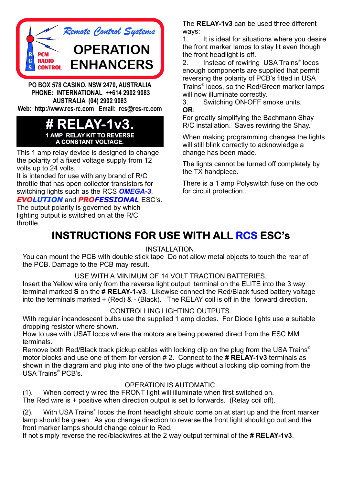

**PO BOX 578 CASINO, NSW 2470, AUSTRALIA PHONE: INTERNATIONAL ++614 2902 9083 AUSTRALIA (04) 2902 9083 Web: http://www.rcs-rc.com Email: rcs@rcs-rc.com**

#### **# RELAY-1v3. 1 AMP RELAY KIT TO REVERSE A CONSTANT VOLTAGE.**

This 1 amp relay device is designed to change the polarity of a fixed voltage supply from 12 volts up to 24 volts.

It is intended for use with any brand of R/C throttle that has open collector transistors for switching lights such as the RCS *OMEGA-3*,

#### $E$ *VOLUTION* and *PROFESSIONAL* ESC's.

The output polarity is governed by which lighting output is switched on at the R/C throttle.

The RELAY-1v3 can be used three different ways:

1. It is ideal for situations where you desire the front marker lamps to stay lit even though the front headlight is off.

2. Instead of rewiring USA Trains<sup>®</sup> locos enough components are supplied that permit reversing the polarity of PCB's fitted in USA Trains<sup>®</sup> locos, so the Red/Green marker lamps will now illuminate correctly.

3. Switching ON-OFF smoke units. : **OR**

For greatly simplifying the Bachmann Shay R/C installation. Saves rewiring the Shay.

When making programming changes the lights will still blink correctly to acknowledge a change has been made.

The lights cannot be turned off completely by the TX handpiece.

There is a 1 amp Polyswitch fuse on the ocb for circuit protection..

## **INSTRUCTIONS FOR USE WITH ALL <mark>RCS</mark> ESC's**

#### INSTALLATION.

the PCB. Damage to the PCB may result. You can mount the PCB with double stick tape Do not allow metal objects to touch the rear of

#### USE WITH A MINIMUM OF 14 VOLT TRACTION BATTERIES.

Insert the Yellow wire only from the reverse light output terminal on the ELITE into the 3 way terminal marked S on the # RELAY-1-v3. Likewise connect the Red/Black fused battery voltage into the terminals marked + (Red) & - (Black). The RELAY coil is off in the forward direction.

#### CONTROLLING LIGHTING OUTPUTS.

With regular incandescent bulbs use the supplied 1 amp diodes. For Diode lights use a suitable dropping resistor where shown.

How to use with USAT locos where the motors are being powered direct from the ESC MM terminals.

Remove both Red/Black track pickup cables with locking clip on the plug from the USA Trains<sup>®</sup> motor blocks and use one of them for version # 2. Connect to the **# RELAY-1v3** terminals as shown in the diagram and plug into one of the two plugs without a locking clip coming from the USA Trains<sup>®</sup> PCB's.

#### OPERATION IS AUTOMATIC.

(1). When correctly wired the FRONT light will illuminate when first switched on. The Red wire is + positive when direction output is set to forwards. (Relay coil off).

(2). With USA Trains<sup>®</sup> locos the front headlight should come on at start up and the front marker lamp should be green. As you change direction to reverse the front light should go out and the front marker lamps should change colour to Red.

If not simply reverse the red/blackwires at the 2 way output terminal of the # RELAY-1v3.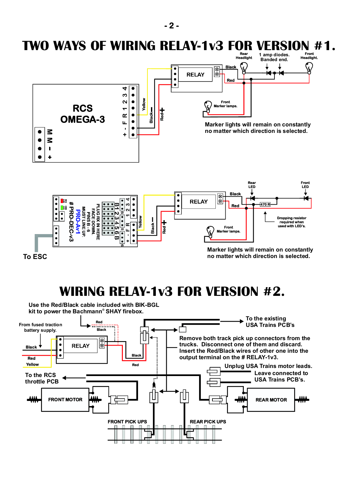

**To ESC**

**no matter which direction is selected.**

## **WIRING RELAY-1v3 FOR VERSION #2.**